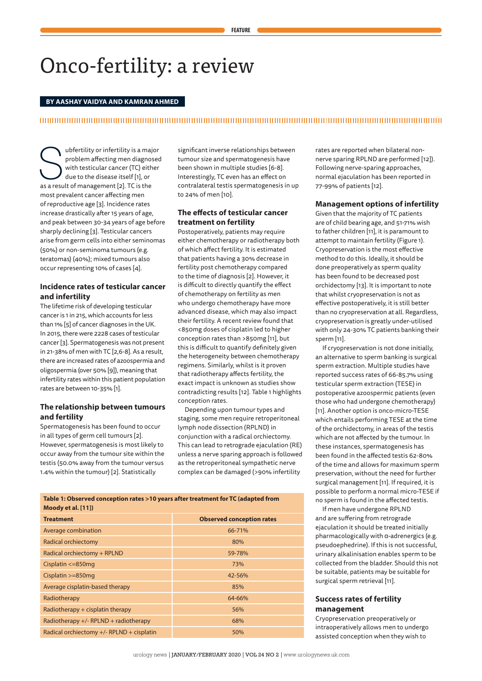# Onco-fertility: a review

#### **BY AASHAY VAIDYA AND KAMRAN AHMED**

#### 

We ubfertility or infertility is a major<br>
problem affecting men diagnosed<br>
with testicular cancer (TC) either<br>
due to the disease itself [1], or<br>
as a result of management [2]. TC is the problem affecting men diagnosed with testicular cancer (TC) either due to the disease itself [1], or most prevalent cancer affecting men of reproductive age [3]. Incidence rates increase drastically after 15 years of age, and peak between 30-34 years of age before sharply declining [3]. Testicular cancers arise from germ cells into either seminomas (50%) or non-seminoma tumours (e.g. teratomas) (40%); mixed tumours also occur representing 10% of cases [4].

# **Incidence rates of testicular cancer and infertility**

The lifetime risk of developing testicular cancer is 1 in 215, which accounts for less than 1% [5] of cancer diagnoses in the UK. In 2015, there were 2228 cases of testicular cancer [3]. Spermatogenesis was not present in 21-38% of men with TC [2,6-8]. As a result, there are increased rates of azoospermia and oligospermia (over 50% [9]), meaning that infertility rates within this patient population rates are between 10-35% [1].

## **The relationship between tumours and fertility**

Spermatogenesis has been found to occur in all types of germ cell tumours [2]. However, spermatogenesis is most likely to occur away from the tumour site within the testis (50.0% away from the tumour versus 1.4% within the tumour) [2]. Statistically

significant inverse relationships between tumour size and spermatogenesis have been shown in multiple studies [6-8]. Interestingly, TC even has an effect on contralateral testis spermatogenesis in up to 24% of men [10].

# **The effects of testicular cancer treatment on fertility**

Postoperatively, patients may require either chemotherapy or radiotherapy both of which affect fertility. It is estimated that patients having a 30% decrease in fertility post chemotherapy compared to the time of diagnosis [2]. However, it is difficult to directly quantify the effect of chemotherapy on fertility as men who undergo chemotherapy have more advanced disease, which may also impact their fertility. A recent review found that <850mg doses of cisplatin led to higher conception rates than >850mg [11], but this is difficult to quantify definitely given the heterogeneity between chemotherapy regimens. Similarly, whilst is it proven that radiotherapy affects fertility, the exact impact is unknown as studies show contradicting results [12]. Table 1 highlights conception rates.

Depending upon tumour types and staging, some men require retroperitoneal lymph node dissection (RPLND) in conjunction with a radical orchiectomy. This can lead to retrograde ejaculation (RE) unless a nerve sparing approach is followed as the retroperitoneal sympathetic nerve complex can be damaged (>90% infertility

rates are reported when bilateral nonnerve sparing RPLND are performed [12]). Following nerve-sparing approaches, normal ejaculation has been reported in 77-99% of patients [12].

#### **Management options of infertility**

Given that the majority of TC patients are of child bearing age, and 51-71% wish to father children [11], it is paramount to attempt to maintain fertility (Figure 1). Cryopreservation is the most effective method to do this. Ideally, it should be done preoperatively as sperm quality has been found to be decreased post orchidectomy [13]. It is important to note that whilst cryopreservation is not as effective postoperatively, it is still better than no cryopreservation at all. Regardless, cryopreservation is greatly under-utilised with only 24-30% TC patients banking their sperm [11].

If cryopreservation is not done initially, an alternative to sperm banking is surgical sperm extraction. Multiple studies have reported success rates of 66-85.7% using testicular sperm extraction (TESE) in postoperative azoospermic patients (even those who had undergone chemotherapy) [11]. Another option is onco-micro-TESE which entails performing TESE at the time of the orchidectomy, in areas of the testis which are not affected by the tumour. In these instances, spermatogenesis has been found in the affected testis 62-80% of the time and allows for maximum sperm preservation, without the need for further surgical management [11]. If required, it is possible to perform a normal micro-TESE if no sperm is found in the affected testis.

If men have undergone RPLND and are suffering from retrograde ejaculation it should be treated initially pharmacologically with α-adrenergics (e.g. pseudoephedrine). If this is not successful, urinary alkalinisation enables sperm to be collected from the bladder. Should this not be suitable, patients may be suitable for surgical sperm retrieval [11].

#### **Success rates of fertility management**

Cryopreservation preoperatively or intraoperatively allows men to undergo assisted conception when they wish to

| Table 1: Observed conception rates >10 years after treatment for TC (adapted from |
|-----------------------------------------------------------------------------------|
| Moody et al. [11])                                                                |

| <b>Treatment</b>                            | <b>Observed conception rates</b> |
|---------------------------------------------|----------------------------------|
| Average combination                         | 66-71%                           |
| Radical orchiectomy                         | 80%                              |
| Radical orchiectomy + RPLND                 | 59-78%                           |
| Cisplatin $\leq$ =850mg                     | 73%                              |
| Cisplatin $>= 850$ mg                       | 42-56%                           |
| Average cisplatin-based therapy             | 85%                              |
| Radiotherapy                                | 64-66%                           |
| Radiotherapy + cisplatin therapy            | 56%                              |
| Radiotherapy $+/-$ RPLND + radiotherapy     | 68%                              |
| Radical orchiectomy $+/-$ RPLND + cisplatin | 50%                              |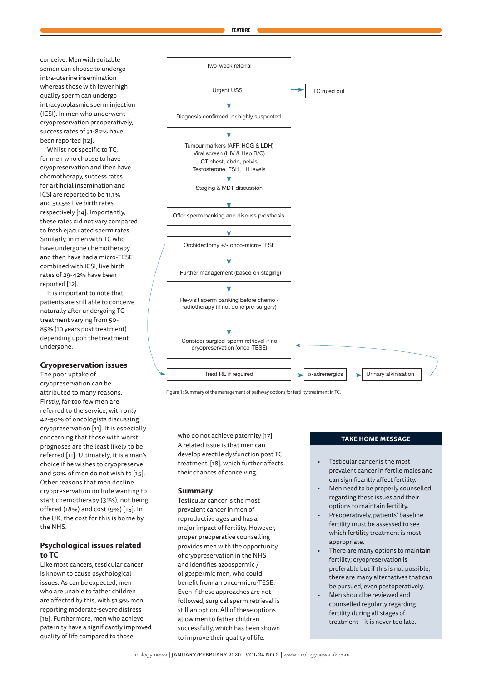conceive. Men with suitable semen can choose to undergo intra-uterine insemination whereas those with fewer high quality sperm can undergo intracytoplasmic sperm injection (ICSI). In men who underwent cryopreservation preoperatively, success rates of 31-82% have been reported [12].

Whilst not specific to TC, for men who choose to have cryopreservation and then have chemotherapy, success rates for artificial insemination and ICSI are reported to be 11.1% and 30.5% live birth rates respectively [14]. Importantly, these rates did not vary compared to fresh ejaculated sperm rates. Similarly, in men with TC who have undergone chemotherapy and then have had a micro-TESE combined with ICSI, live birth rates of 29-42% have been reported [12].

It is important to note that patients are still able to conceive naturally after undergoing TC treatment varying from 50- 85% (10 years post treatment) depending upon the treatment undergone.

#### **Cryopreservation issues**

The poor uptake of cryopreservation can be attributed to many reasons. Firstly, far too few men are referred to the service, with only 42-50% of oncologists discussing cryopreservation [11]. It is especially concerning that those with worst prognoses are the least likely to be referred [11]. Ultimately, it is a man's choice if he wishes to cryopreserve and 50% of men do not wish to [15]. Other reasons that men decline cryopreservation include wanting to start chemotherapy (31%), not being offered (18%) and cost (9%) [15]. In the UK, the cost for this is borne by the NHS.

# **Psychological issues related to TC**

Like most cancers, testicular cancer is known to cause psychological issues. As can be expected, men who are unable to father children are affected by this, with 51.9% men reporting moderate-severe distress [16]. Furthermore, men who achieve paternity have a significantly improved quality of life compared to those



Figure 1: Summary of the management of pathway options for fertility treatment in TC.

**TAKE HOME MESSAGE** who do not achieve paternity [17]. A related issue is that men can develop erectile dysfunction post TC treatment [18], which further affects their chances of conceiving.

#### **Summary**

Testicular cancer is the most prevalent cancer in men of reproductive ages and has a major impact of fertility. However, proper preoperative counselling provides men with the opportunity of cryopreservation in the NHS and identifies azoospermic / oligospermic men, who could benefit from an onco-micro-TESE. Even if these approaches are not followed, surgical sperm retrieval is still an option. All of these options allow men to father children successfully, which has been shown to improve their quality of life.

- Testicular cancer is the most prevalent cancer in fertile males and can significantly affect fertility.
- Men need to be properly counselled regarding these issues and their options to maintain fertility.
- Preoperatively, patients' baseline fertility must be assessed to see which fertility treatment is most appropriate.
- There are many options to maintain fertility; cryopreservation is preferable but if this is not possible, there are many alternatives that can be pursued, even postoperatively.
- Men should be reviewed and counselled regularly regarding fertility during all stages of treatment – it is never too late.